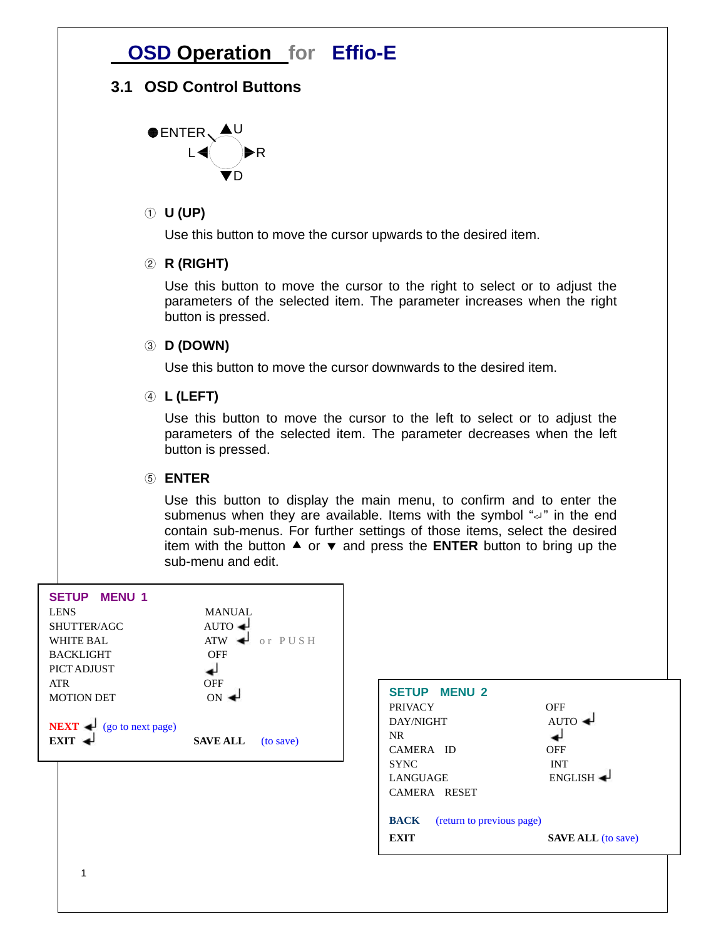# **OSD Operation for Effio-E**

### **3.1 OSD Control Buttons**



### ① **U (UP)**

Use this button to move the cursor upwards to the desired item.

### ② **R (RIGHT)**

Use this button to move the cursor to the right to select or to adjust the parameters of the selected item. The parameter increases when the right button is pressed.

### ③ **D (DOWN)**

Use this button to move the cursor downwards to the desired item.

### ④ **L (LEFT)**

Use this button to move the cursor to the left to select or to adjust the parameters of the selected item. The parameter decreases when the left button is pressed.

### ⑤ **ENTER**

Use this button to display the main menu, to confirm and to enter the submenus when they are available. Items with the symbol "<" in the end contain sub-menus. For further settings of those items, select the desired item with the button  $\blacktriangle$  or  $\blacktriangledown$  and press the **ENTER** button to bring up the sub-menu and edit.

| <b>SETUP MENU 1</b><br><b>LENS</b><br>SHUTTER/AGC<br><b>WHITE BAL</b><br><b>BACKLIGHT</b><br>PICT ADJUST | <b>MANUAL</b><br>AUTO $\rightarrow$<br><b>ATW</b><br>or PUSH<br>↵<br><b>OFF</b> |                                                                                                    |                                                    |
|----------------------------------------------------------------------------------------------------------|---------------------------------------------------------------------------------|----------------------------------------------------------------------------------------------------|----------------------------------------------------|
| ATR<br><b>MOTION DET</b><br>NEXT $\rightarrow$ (go to next page)<br>$EXIT \triangleleft$                 | <b>OFF</b><br>$ON \triangleleft$<br><b>SAVE ALL</b><br>(to save)                | <b>MENU 2</b><br><b>SETUP</b><br><b>PRIVACY</b><br>DAY/NIGHT<br>NR<br>CAMERA ID                    | <b>OFF</b><br>$AUTO \triangleleft$<br><b>OFF</b>   |
|                                                                                                          |                                                                                 | <b>SYNC</b><br>LANGUAGE<br>CAMERA RESET<br><b>BACK</b><br>(return to previous page)<br><b>EXIT</b> | <b>INT</b><br>ENGLISH<br><b>SAVE ALL</b> (to save) |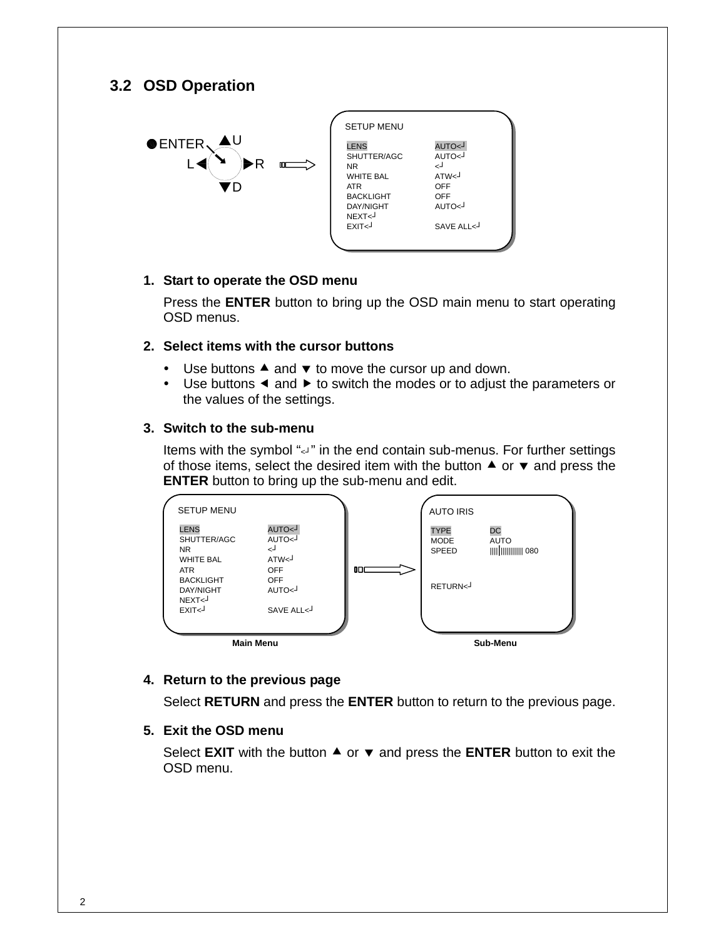### **3.2 OSD Operation**



| <b>SETUP MENU</b><br><b>LENS</b><br>L>OTUA<br>AUTO<                                                                                                                                                        |  |
|------------------------------------------------------------------------------------------------------------------------------------------------------------------------------------------------------------|--|
|                                                                                                                                                                                                            |  |
| SHUTTER/AGC<br>لے<br>NR.<br>ATW <sub>1</sub><br><b>WHITE BAL</b><br>OFF<br><b>ATR</b><br><b>BACKLIGHT</b><br>OFF<br>AUTO<<br><b>DAY/NIGHT</b><br>NFXT <sub>&lt;</sub><br>FXIT <sub>&lt;</sub><br>SAVE ALL< |  |

#### **1. Start to operate the OSD menu**

Press the **ENTER** button to bring up the OSD main menu to start operating OSD menus.

### **2. Select items with the cursor buttons**

- $\bullet$  Use buttons  $\blacktriangle$  and  $\blacktriangledown$  to move the cursor up and down.
- $\bullet$  Use buttons  $\blacktriangleleft$  and  $\blacktriangleright$  to switch the modes or to adjust the parameters or the values of the settings.

#### **3. Switch to the sub-menu**

Items with the symbol "<" in the end contain sub-menus. For further settings of those items, select the desired item with the button  $\blacktriangle$  or  $\blacktriangledown$  and press the **ENTER** button to bring up the sub-menu and edit.



### **4. Return to the previous page**

Select **RETURN** and press the **ENTER** button to return to the previous page.

### **5. Exit the OSD menu**

Select **EXIT** with the button  $\triangle$  or  $\triangledown$  and press the **ENTER** button to exit the OSD menu.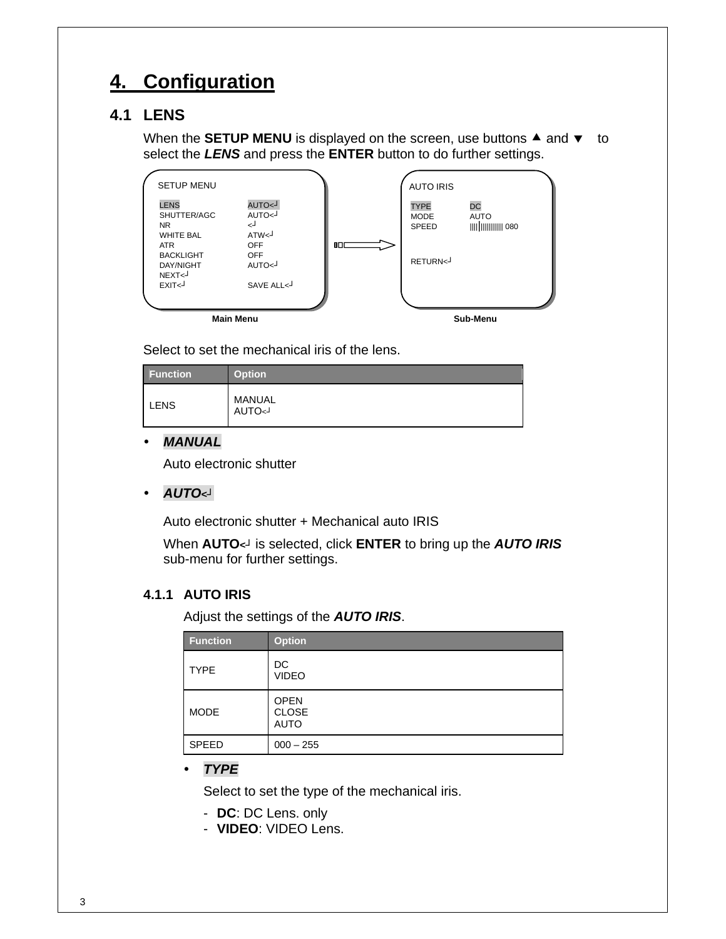# **4. Configuration**

# **4.1 LENS**

When the **SETUP MENU** is displayed on the screen, use buttons  $\triangle$  and  $\blacktriangledown$  to select the *LENS* and press the **ENTER** button to do further settings.

| <b>Main Menu</b>                                                 |                                              |    |                                            | Sub-Menu                 |  |
|------------------------------------------------------------------|----------------------------------------------|----|--------------------------------------------|--------------------------|--|
|                                                                  |                                              |    |                                            |                          |  |
| <b>DAY/NIGHT</b><br>NEXT <sub>&lt;</sub><br>EXIT <sub>&lt;</sub> | L>OTUA<br>SAVE ALL<                          |    | RETURN<                                    |                          |  |
| <b>WHITE BAL</b><br>ATR.<br><b>BACKLIGHT</b>                     | ATW <sub>1</sub><br><b>OFF</b><br><b>OFF</b> | nп |                                            |                          |  |
| <b>LENS</b><br>SHUTTER/AGC<br>NR.                                | L>OTUA<br>AUTO<<br>لے                        |    | <b>TYPE</b><br><b>MODE</b><br><b>SPEED</b> | <b>DC</b><br><b>AUTO</b> |  |
| <b>SETUP MENU</b>                                                |                                              |    | <b>AUTO IRIS</b>                           |                          |  |

Select to set the mechanical iris of the lens.

| <b>Function</b> | <b>Option</b>          |
|-----------------|------------------------|
| <b>LENS</b>     | MANUAL<br><b>AUTO~</b> |

### y *MANUAL*

Auto electronic shutter

y *AUTO<┘*

Auto electronic shutter + Mechanical auto IRIS

When **AUTO***<┘* is selected, click **ENTER** to bring up the *AUTO IRIS* sub-menu for further settings.

### **4.1.1 AUTO IRIS**

Adjust the settings of the *AUTO IRIS*.

| <b>Function</b> | <b>Option</b>                              |
|-----------------|--------------------------------------------|
| <b>TYPE</b>     | DC<br><b>VIDEO</b>                         |
| <b>MODE</b>     | <b>OPEN</b><br><b>CLOSE</b><br><b>AUTO</b> |
| SPEED           | $000 - 255$                                |

y *TYPE*

Select to set the type of the mechanical iris.

- **DC**: DC Lens. only
- **VIDEO**: VIDEO Lens.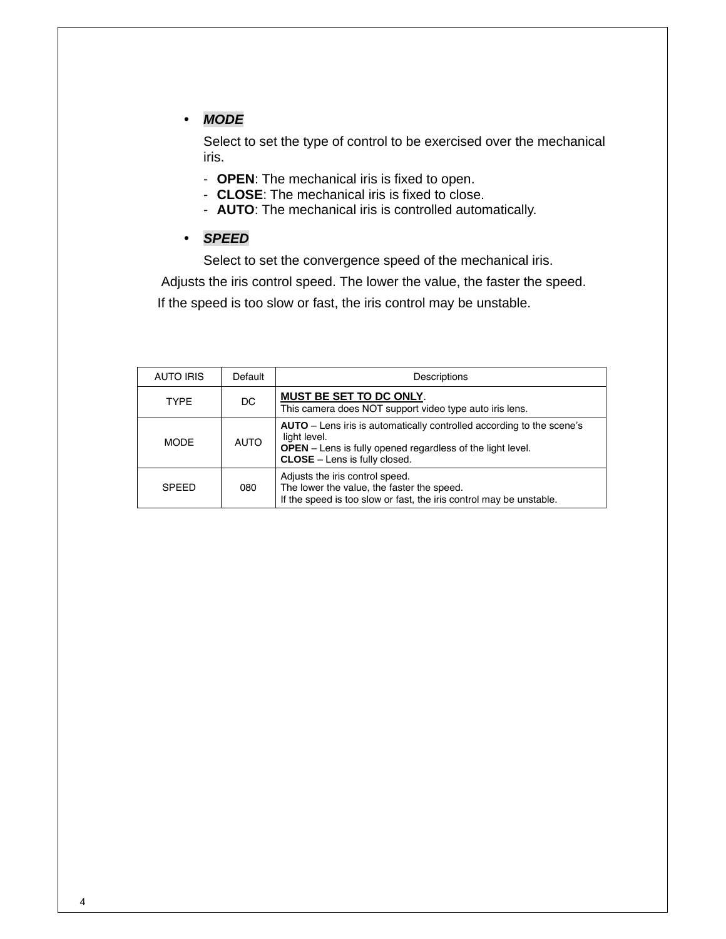### y *MODE*

Select to set the type of control to be exercised over the mechanical iris.

- **OPEN**: The mechanical iris is fixed to open.
- **CLOSE**: The mechanical iris is fixed to close.
- **AUTO**: The mechanical iris is controlled automatically.
- y *SPEED*

Select to set the convergence speed of the mechanical iris.

 Adjusts the iris control speed. The lower the value, the faster the speed. If the speed is too slow or fast, the iris control may be unstable.

| AUTO IRIS    | Default     | Descriptions                                                                                                                                                                                       |
|--------------|-------------|----------------------------------------------------------------------------------------------------------------------------------------------------------------------------------------------------|
| <b>TYPE</b>  | DC.         | <b>MUST BE SET TO DC ONLY.</b><br>This camera does NOT support video type auto iris lens.                                                                                                          |
| <b>MODE</b>  | <b>AUTO</b> | AUTO – Lens iris is automatically controlled according to the scene's<br>light level.<br><b>OPEN</b> – Lens is fully opened regardless of the light level.<br><b>CLOSE</b> – Lens is fully closed. |
| <b>SPEED</b> | 080         | Adjusts the iris control speed.<br>The lower the value, the faster the speed.<br>If the speed is too slow or fast, the iris control may be unstable.                                               |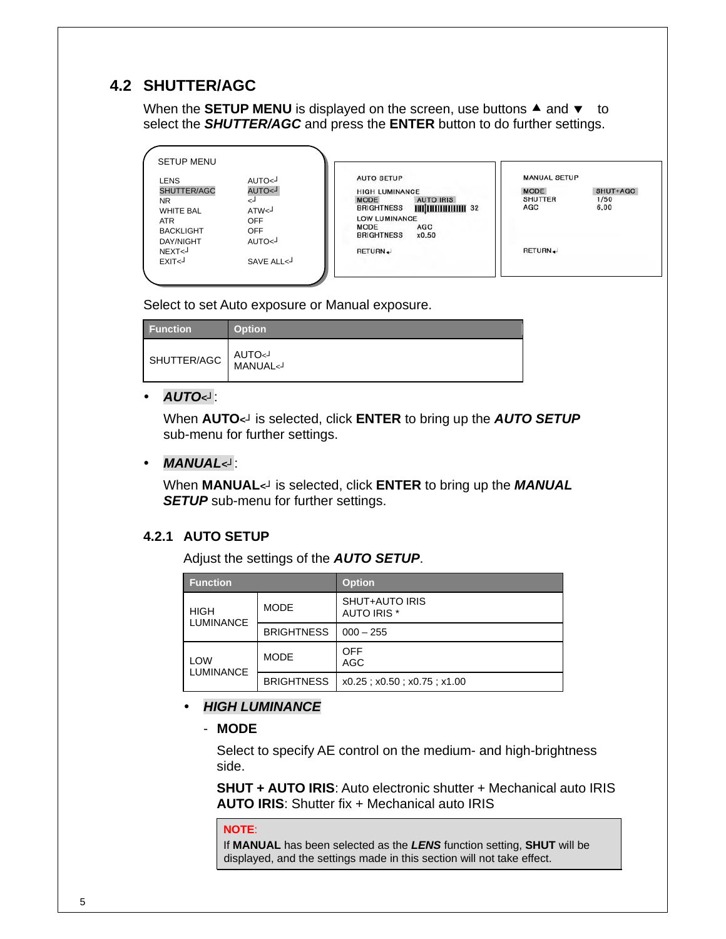# **4.2 SHUTTER/AGC**

When the **SETUP MENU** is displayed on the screen, use buttons  $\triangle$  and  $\blacktriangledown$  to select the *SHUTTER/AGC* and press the **ENTER** button to do further settings.

| <b>SETUP MENU</b>                                                                       |                                                                                  |                                                                                                                                                                                             |                                                                                         |
|-----------------------------------------------------------------------------------------|----------------------------------------------------------------------------------|---------------------------------------------------------------------------------------------------------------------------------------------------------------------------------------------|-----------------------------------------------------------------------------------------|
| <b>LENS</b><br>SHUTTER/AGC<br>NR.<br><b>WHITE BAL</b><br><b>ATR</b><br><b>BACKLIGHT</b> | AUTO<<br>$\sim$ AUTO $\sim$<br>↵<br>ATW <sub>1</sub><br><b>OFF</b><br><b>OFF</b> | <b>AUTO SETUP</b><br><b>HIGH LUMINANCE</b><br><b>AUTO IRIS</b><br><b>MODE</b><br><b>ШШШШШШ 32</b><br><b>BRIGHTNESS</b><br>LOW LUMINANCE<br><b>MODE</b><br>AGC<br><b>BRIGHTNESS</b><br>x0.50 | <b>MANUAL SETUP</b><br><b>MODE</b><br>SHUT+AGC<br><b>SHUTTER</b><br>1/50<br>6.00<br>AGC |
| DAY/NIGHT<br>NEXT <sub>&lt;</sub><br>EXIT <sup>J</sup>                                  | AUTO<<br>SAVE ALL<                                                               | RETURN.                                                                                                                                                                                     | RETURN.                                                                                 |

Select to set Auto exposure or Manual exposure.

| <b>Function</b> | <b>Option</b>                               |
|-----------------|---------------------------------------------|
| SHUTTER/AGC     | AUTO <sup>J</sup><br>MANUAL <j< td=""></j<> |

### y *AUTO<┘*:

When **AUTO***<┘* is selected, click **ENTER** to bring up the *AUTO SETUP* sub-menu for further settings.

#### y *MANUAL<┘*:

When **MANUAL***<┘* is selected, click **ENTER** to bring up the *MANUAL*  **SETUP** sub-menu for further settings.

### **4.2.1 AUTO SETUP**

Adjust the settings of the *AUTO SETUP*.

| <b>Function</b>                 |                   | <b>Option</b>                                   |
|---------------------------------|-------------------|-------------------------------------------------|
| <b>HIGH</b><br><b>LUMINANCE</b> | <b>MODE</b>       | <b>SHUT+AUTO IRIS</b><br>AUTO IRIS <sup>*</sup> |
|                                 | <b>BRIGHTNESS</b> | $000 - 255$                                     |
| LOW<br><b>LUMINANCE</b>         | <b>MODE</b>       | <b>OFF</b><br>AGC                               |
|                                 | <b>BRIGHTNESS</b> | $x0.25$ ; $x0.50$ ; $x0.75$ ; $x1.00$           |

### y *HIGH LUMINANCE*

- **MODE**

Select to specify AE control on the medium- and high-brightness side.

**SHUT + AUTO IRIS**: Auto electronic shutter + Mechanical auto IRIS **AUTO IRIS**: Shutter fix + Mechanical auto IRIS

#### **NOTE**:

If **MANUAL** has been selected as the *LENS* function setting, **SHUT** will be displayed, and the settings made in this section will not take effect.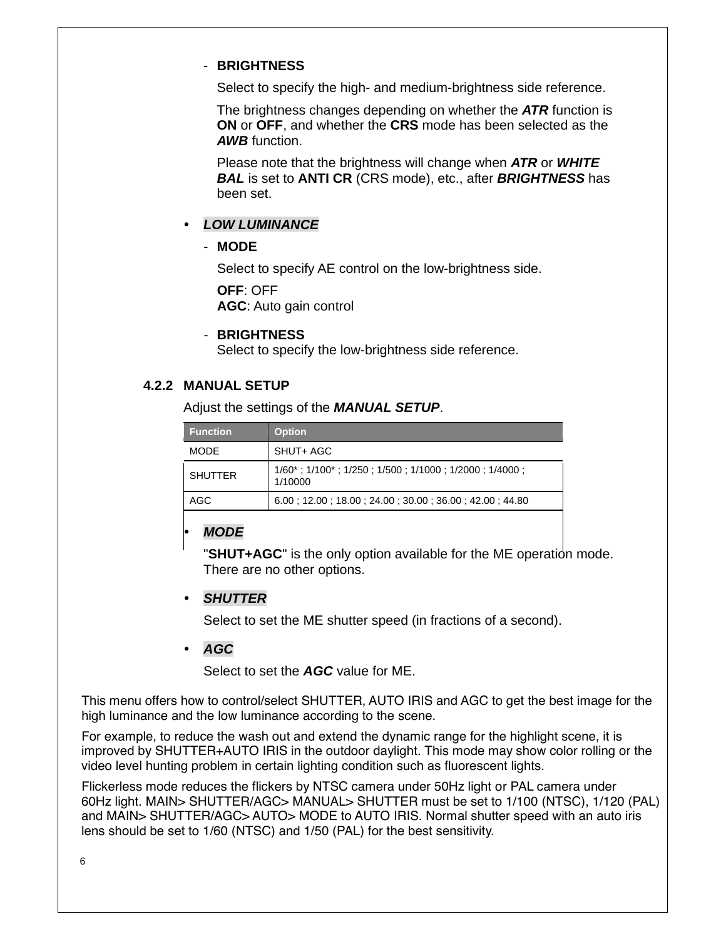### - **BRIGHTNESS**

Select to specify the high- and medium-brightness side reference.

The brightness changes depending on whether the *ATR* function is **ON** or **OFF**, and whether the **CRS** mode has been selected as the *AWB* function.

Please note that the brightness will change when *ATR* or *WHITE BAL* is set to **ANTI CR** (CRS mode), etc., after *BRIGHTNESS* has been set.

### y *LOW LUMINANCE*

### - **MODE**

Select to specify AE control on the low-brightness side.

**OFF**: OFF

**AGC**: Auto gain control

### - **BRIGHTNESS**

Select to specify the low-brightness side reference.

### **4.2.2 MANUAL SETUP**

Adjust the settings of the *MANUAL SETUP*.

| <b>Function</b> | <b>Option</b>                                                                          |
|-----------------|----------------------------------------------------------------------------------------|
| <b>MODE</b>     | SHUT+ AGC                                                                              |
| <b>SHUTTER</b>  | $1/60^*$ ; $1/100^*$ ; $1/250$ ; $1/500$ ; $1/1000$ ; $1/2000$ ; $1/4000$ ;<br>1/10000 |
| AGC             | $6.00$ ; 12.00; 18.00; 24.00; 30.00; 36.00; 42.00; 44.80                               |

### y *MODE*

"**SHUT+AGC**" is the only option available for the ME operation mode. There are no other options.

### **SHUTTER**

Select to set the ME shutter speed (in fractions of a second).

### y *AGC*

Select to set the *AGC* value for ME.

This menu offers how to control/select SHUTTER, AUTO IRIS and AGC to get the best image for the high luminance and the low luminance according to the scene.

For example, to reduce the wash out and extend the dynamic range for the highlight scene, it is improved by SHUTTER+AUTO IRIS in the outdoor daylight. This mode may show color rolling or the video level hunting problem in certain lighting condition such as fluorescent lights.

Flickerless mode reduces the flickers by NTSC camera under 50Hz light or PAL camera under 60Hz light. MAIN> SHUTTER/AGC> MANUAL> SHUTTER must be set to 1/100 (NTSC), 1/120 (PAL) and MAIN> SHUTTER/AGC> AUTO> MODE to AUTO IRIS. Normal shutter speed with an auto iris lens should be set to 1/60 (NTSC) and 1/50 (PAL) for the best sensitivity.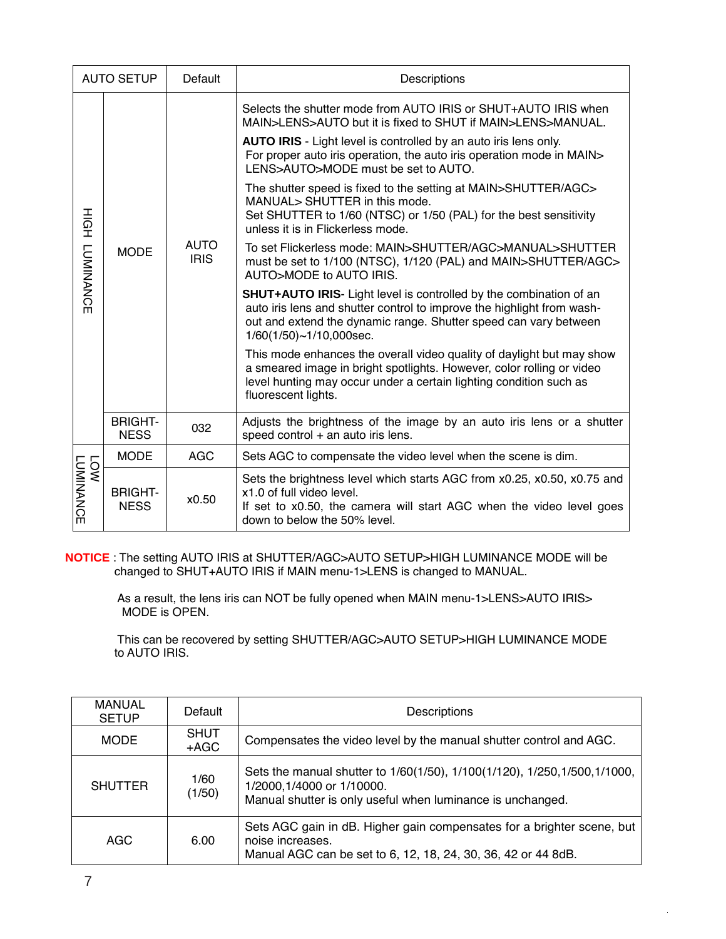| <b>AUTO SETUP</b>        |                               | Default                    | Descriptions                                                                                                                                                                                                                                                                                                                                                                                                                                                                                                                                                                                                                                                                                                                                                                                                                                                                                                                                                                                                                                                                                                                                                                                 |
|--------------------------|-------------------------------|----------------------------|----------------------------------------------------------------------------------------------------------------------------------------------------------------------------------------------------------------------------------------------------------------------------------------------------------------------------------------------------------------------------------------------------------------------------------------------------------------------------------------------------------------------------------------------------------------------------------------------------------------------------------------------------------------------------------------------------------------------------------------------------------------------------------------------------------------------------------------------------------------------------------------------------------------------------------------------------------------------------------------------------------------------------------------------------------------------------------------------------------------------------------------------------------------------------------------------|
| HOH<br><b>LUMINANCE</b>  | <b>MODE</b>                   | <b>AUTO</b><br><b>IRIS</b> | Selects the shutter mode from AUTO IRIS or SHUT+AUTO IRIS when<br>MAIN>LENS>AUTO but it is fixed to SHUT if MAIN>LENS>MANUAL.<br>AUTO IRIS - Light level is controlled by an auto iris lens only.<br>For proper auto iris operation, the auto iris operation mode in MAIN><br>LENS>AUTO>MODE must be set to AUTO.<br>The shutter speed is fixed to the setting at MAIN>SHUTTER/AGC><br>MANUAL> SHUTTER in this mode.<br>Set SHUTTER to 1/60 (NTSC) or 1/50 (PAL) for the best sensitivity<br>unless it is in Flickerless mode.<br>To set Flickerless mode: MAIN>SHUTTER/AGC>MANUAL>SHUTTER<br>must be set to 1/100 (NTSC), 1/120 (PAL) and MAIN>SHUTTER/AGC><br>AUTO>MODE to AUTO IRIS.<br><b>SHUT+AUTO IRIS-</b> Light level is controlled by the combination of an<br>auto iris lens and shutter control to improve the highlight from wash-<br>out and extend the dynamic range. Shutter speed can vary between<br>1/60(1/50)~1/10,000sec.<br>This mode enhances the overall video quality of daylight but may show<br>a smeared image in bright spotlights. However, color rolling or video<br>level hunting may occur under a certain lighting condition such as<br>fluorescent lights. |
|                          | <b>BRIGHT-</b><br><b>NESS</b> | 032                        | Adjusts the brightness of the image by an auto iris lens or a shutter<br>speed control + an auto iris lens.                                                                                                                                                                                                                                                                                                                                                                                                                                                                                                                                                                                                                                                                                                                                                                                                                                                                                                                                                                                                                                                                                  |
| LOW<br>LU <u>MINANCE</u> | <b>MODE</b>                   | <b>AGC</b>                 | Sets AGC to compensate the video level when the scene is dim.                                                                                                                                                                                                                                                                                                                                                                                                                                                                                                                                                                                                                                                                                                                                                                                                                                                                                                                                                                                                                                                                                                                                |
|                          | <b>BRIGHT-</b><br><b>NESS</b> | x0.50                      | Sets the brightness level which starts AGC from x0.25, x0.50, x0.75 and<br>x1.0 of full video level.<br>If set to x0.50, the camera will start AGC when the video level goes<br>down to below the 50% level.                                                                                                                                                                                                                                                                                                                                                                                                                                                                                                                                                                                                                                                                                                                                                                                                                                                                                                                                                                                 |

 **NOTICE** : The setting AUTO IRIS at SHUTTER/AGC>AUTO SETUP>HIGH LUMINANCE MODE will be changed to SHUT+AUTO IRIS if MAIN menu-1>LENS is changed to MANUAL.

> As a result, the lens iris can NOT be fully opened when MAIN menu-1>LENS>AUTO IRIS> MODE is OPEN.

 This can be recovered by setting SHUTTER/AGC>AUTO SETUP>HIGH LUMINANCE MODE to AUTO IRIS.

| <b>MANUAL</b><br><b>SETUP</b> | Default               | Descriptions                                                                                                                                                           |
|-------------------------------|-----------------------|------------------------------------------------------------------------------------------------------------------------------------------------------------------------|
| <b>MODE</b>                   | <b>SHUT</b><br>$+AGC$ | Compensates the video level by the manual shutter control and AGC.                                                                                                     |
| <b>SHUTTER</b>                | 1/60<br>(1/50)        | Sets the manual shutter to 1/60(1/50), 1/100(1/120), 1/250, 1/500, 1/1000,<br>1/2000, 1/4000 or 1/10000.<br>Manual shutter is only useful when luminance is unchanged. |
| AGC                           | 6.00                  | Sets AGC gain in dB. Higher gain compensates for a brighter scene, but<br>noise increases.<br>Manual AGC can be set to 6, 12, 18, 24, 30, 36, 42 or 44 8dB.            |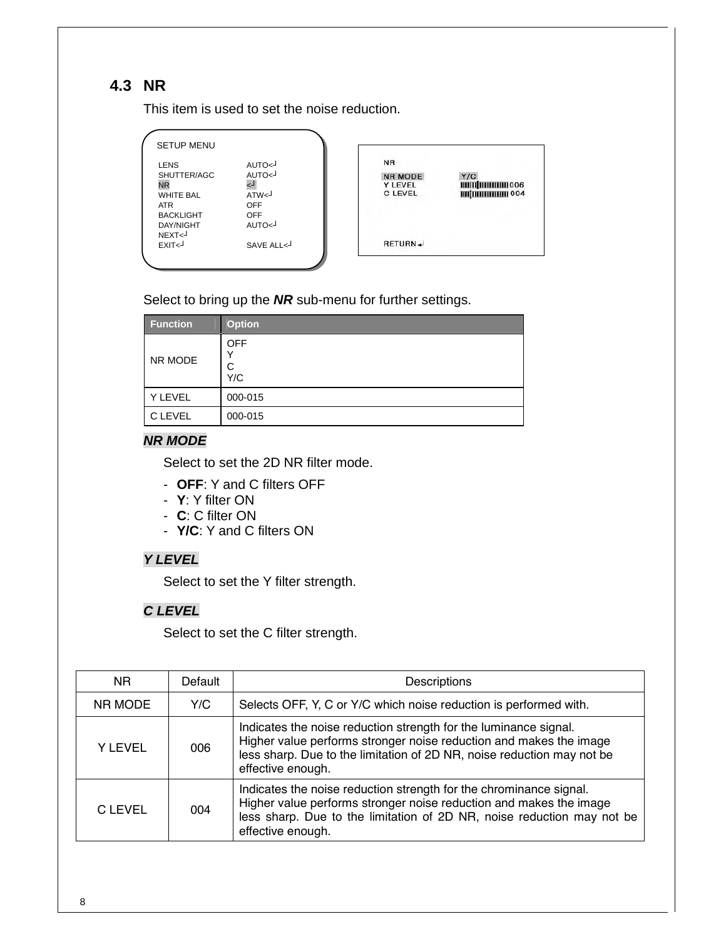# **4.3 NR**

This item is used to set the noise reduction.

| <b>SETUP MENU</b>                                                                                          |                                                                                                |                                                                 |                                             |
|------------------------------------------------------------------------------------------------------------|------------------------------------------------------------------------------------------------|-----------------------------------------------------------------|---------------------------------------------|
| <b>LENS</b><br>SHUTTER/AGC<br><b>NR</b><br><b>WHITE BAL</b><br>ATR<br><b>BACKLIGHT</b><br><b>DAY/NIGHT</b> | AUTO<<br>AUTO <j<br>ا ہے<br/>ATW<sub>1</sub><br/><b>OFF</b><br/><b>OFF</b><br/>AUTO&lt;</j<br> | <b>NR</b><br><b>NR MODE</b><br><b>Y LEVEL</b><br><b>C LEVEL</b> | Y/C<br><b>ШШШШШ</b> 006<br><b>ШШШШШ 004</b> |
| NEXT<<br>EXIT <sub>&lt;</sub>                                                                              | SAVE ALL<                                                                                      | RETURN +                                                        |                                             |

Select to bring up the *NR* sub-menu for further settings.

| <b>Function</b> | <b>Option</b>               |
|-----------------|-----------------------------|
| NR MODE         | <b>OFF</b><br>ν<br>C<br>Y/C |
| Y LEVEL         | 000-015                     |
| C LEVEL         | 000-015                     |

### *NR MODE*

Select to set the 2D NR filter mode.

- **OFF**: Y and C filters OFF
- **Y**: Y filter ON
- **C**: C filter ON
- **Y/C**: Y and C filters ON

### *Y LEVEL*

Select to set the Y filter strength.

### *C LEVEL*

Select to set the C filter strength.

| N <sub>R</sub> | Default | Descriptions                                                                                                                                                                                                                            |  |
|----------------|---------|-----------------------------------------------------------------------------------------------------------------------------------------------------------------------------------------------------------------------------------------|--|
| NR MODE        | Y/C     | Selects OFF, Y, C or Y/C which noise reduction is performed with.                                                                                                                                                                       |  |
| <b>YLEVEL</b>  | 006     | Indicates the noise reduction strength for the luminance signal.<br>Higher value performs stronger noise reduction and makes the image<br>less sharp. Due to the limitation of 2D NR, noise reduction may not be<br>effective enough.   |  |
| C LEVEL        | 004     | Indicates the noise reduction strength for the chrominance signal.<br>Higher value performs stronger noise reduction and makes the image<br>less sharp. Due to the limitation of 2D NR, noise reduction may not be<br>effective enough. |  |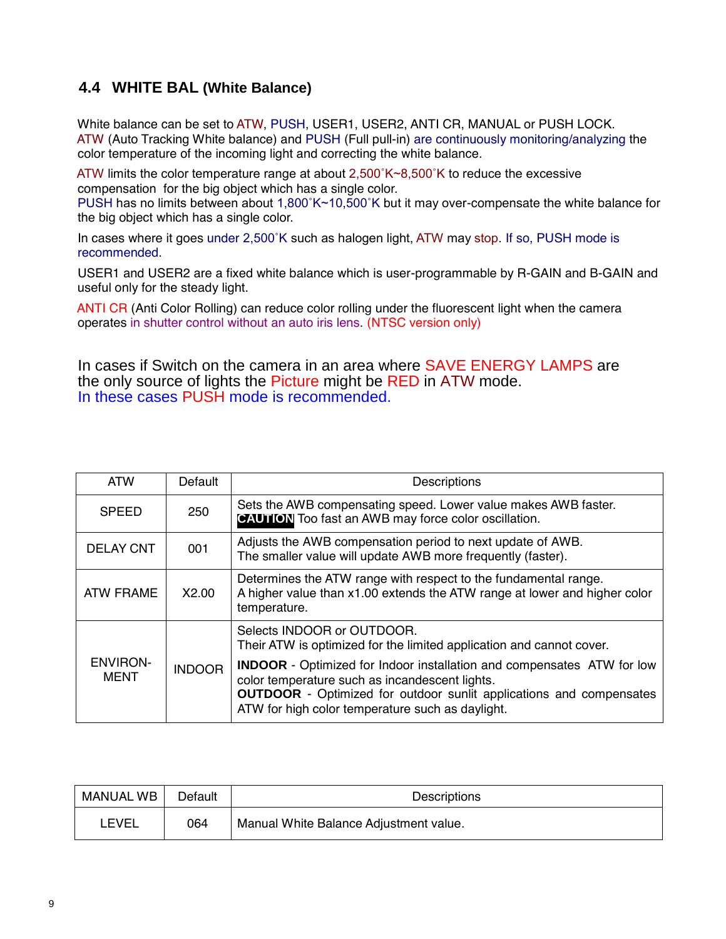# **4.4 WHITE BAL (White Balance)**

 White balance can be set to ATW, PUSH, USER1, USER2, ANTI CR, MANUAL or PUSH LOCK. ATW (Auto Tracking White balance) and PUSH (Full pull-in) are continuously monitoring/analyzing the color temperature of the incoming light and correcting the white balance.

ATW limits the color temperature range at about  $2,500\text{ K} \sim 8,500\text{ K}$  to reduce the excessive compensation for the big object which has a single color.

 PUSH has no limits between about 1,800˚K~10,500˚K but it may over-compensate the white balance for the big object which has a single color.

 In cases where it goes under 2,500˚K such as halogen light, ATW may stop. If so, PUSH mode is recommended.

 USER1 and USER2 are a fixed white balance which is user-programmable by R-GAIN and B-GAIN and useful only for the steady light.

 ANTI CR (Anti Color Rolling) can reduce color rolling under the fluorescent light when the camera operates in shutter control without an auto iris lens. (NTSC version only)

In cases if Switch on the camera in an area where SAVE ENERGY LAMPS are the only source of lights the Picture might be RED in ATW mode. In these cases PUSH mode is recommended.

| <b>ATW</b>                     | Default       | Descriptions                                                                                                                                                                                                                                                      |  |
|--------------------------------|---------------|-------------------------------------------------------------------------------------------------------------------------------------------------------------------------------------------------------------------------------------------------------------------|--|
| <b>SPEED</b>                   | 250           | Sets the AWB compensating speed. Lower value makes AWB faster.<br><b>CAUTION</b> Too fast an AWB may force color oscillation.                                                                                                                                     |  |
| <b>DELAY CNT</b>               | 001           | Adjusts the AWB compensation period to next update of AWB.<br>The smaller value will update AWB more frequently (faster).                                                                                                                                         |  |
| ATW FRAME                      | X2.00         | Determines the ATW range with respect to the fundamental range.<br>A higher value than x1.00 extends the ATW range at lower and higher color<br>temperature.                                                                                                      |  |
|                                |               | Selects INDOOR or OUTDOOR.<br>Their ATW is optimized for the limited application and cannot cover.                                                                                                                                                                |  |
| <b>ENVIRON-</b><br><b>MENT</b> | <b>INDOOR</b> | <b>INDOOR</b> - Optimized for Indoor installation and compensates ATW for low<br>color temperature such as incandescent lights.<br><b>OUTDOOR</b> - Optimized for outdoor sunlit applications and compensates<br>ATW for high color temperature such as daylight. |  |

| MANUAL WB | Default | Descriptions                           |  |
|-----------|---------|----------------------------------------|--|
| LEVEL     | 064     | Manual White Balance Adjustment value. |  |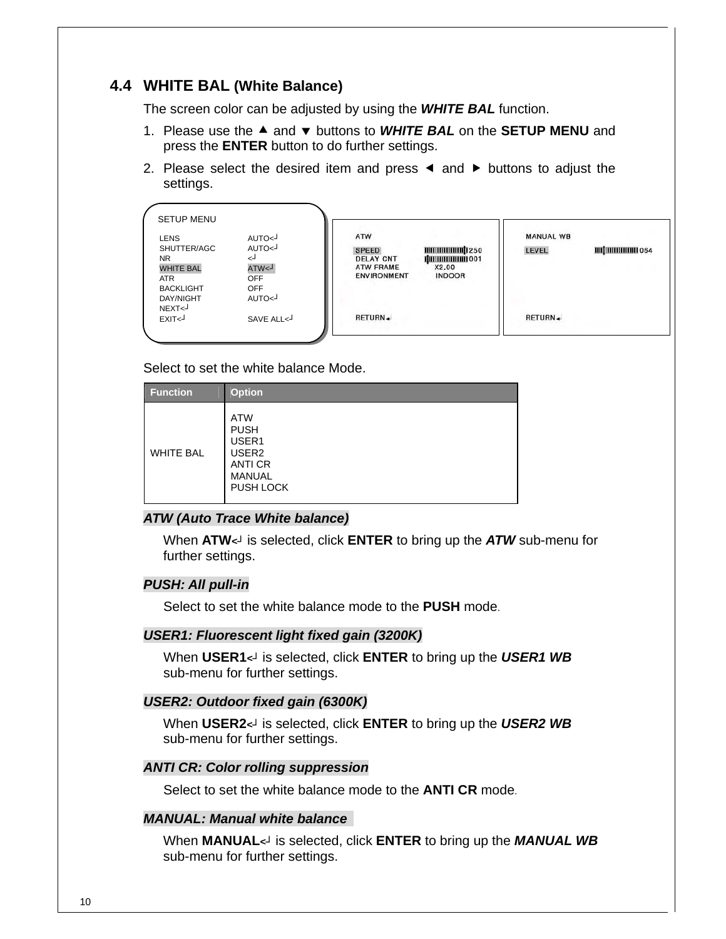### **4.4 WHITE BAL (White Balance)**

The screen color can be adjusted by using the *WHITE BAL* function.

- 1. Please use the **▲** and v buttons to **WHITE BAL** on the **SETUP MENU** and press the **ENTER** button to do further settings.
- 2. Please select the desired item and press  $\triangleleft$  and  $\triangleright$  buttons to adjust the settings.

| <b>SETUP MENU</b>          |             |                                  |                                       |                  |                     |
|----------------------------|-------------|----------------------------------|---------------------------------------|------------------|---------------------|
| <b>LENS</b>                | AUTO<       | ATW                              |                                       | <b>MANUAL WB</b> |                     |
| SHUTTER/AGC<br><b>NR</b>   | AUTO<<br>دے | <b>SPEED</b><br><b>DELAY CNT</b> | <b>MINIMUMININI 250</b><br>ПШШШШШ 001 | LEVEL            | <b>ШИНИНИНИ 064</b> |
| <b>WHITE BAL</b>           | L>WTA       | <b>ATW FRAME</b>                 | X2.00                                 |                  |                     |
| <b>ATR</b>                 | <b>OFF</b>  | <b>ENVIRONMENT</b>               | <b>INDOOR</b>                         |                  |                     |
| <b>BACKLIGHT</b>           | <b>OFF</b>  |                                  |                                       |                  |                     |
| <b>DAY/NIGHT</b><br>NEXT<- | AUTO<       |                                  |                                       |                  |                     |
| EXIT <sup>1</sup>          | SAVE ALL<   | RETURN +                         |                                       | RETURN +         |                     |

Select to set the white balance Mode.

| <b>Function</b>  | <b>Option</b>                                                                                           |
|------------------|---------------------------------------------------------------------------------------------------------|
| <b>WHITE BAL</b> | <b>ATW</b><br><b>PUSH</b><br>USER1<br>USER <sub>2</sub><br><b>ANTI CR</b><br><b>MANUAL</b><br>PUSH LOCK |

### *ATW (Auto Trace White balance)*

When **ATW***<┘* is selected, click **ENTER** to bring up the *ATW* sub-menu for further settings.

#### *PUSH: All pull-in*

Select to set the white balance mode to the **PUSH** mode.

#### *USER1: Fluorescent light fixed gain (3200K)*

When **USER1***<┘* is selected, click **ENTER** to bring up the *USER1 WB* sub-menu for further settings.

#### *USER2: Outdoor fixed gain (6300K)*

When **USER2***<┘* is selected, click **ENTER** to bring up the *USER2 WB* sub-menu for further settings.

#### *ANTI CR: Color rolling suppression*

Select to set the white balance mode to the **ANTI CR** mode.

#### *MANUAL: Manual white balance*

When **MANUAL***<┘* is selected, click **ENTER** to bring up the *MANUAL WB* sub-menu for further settings.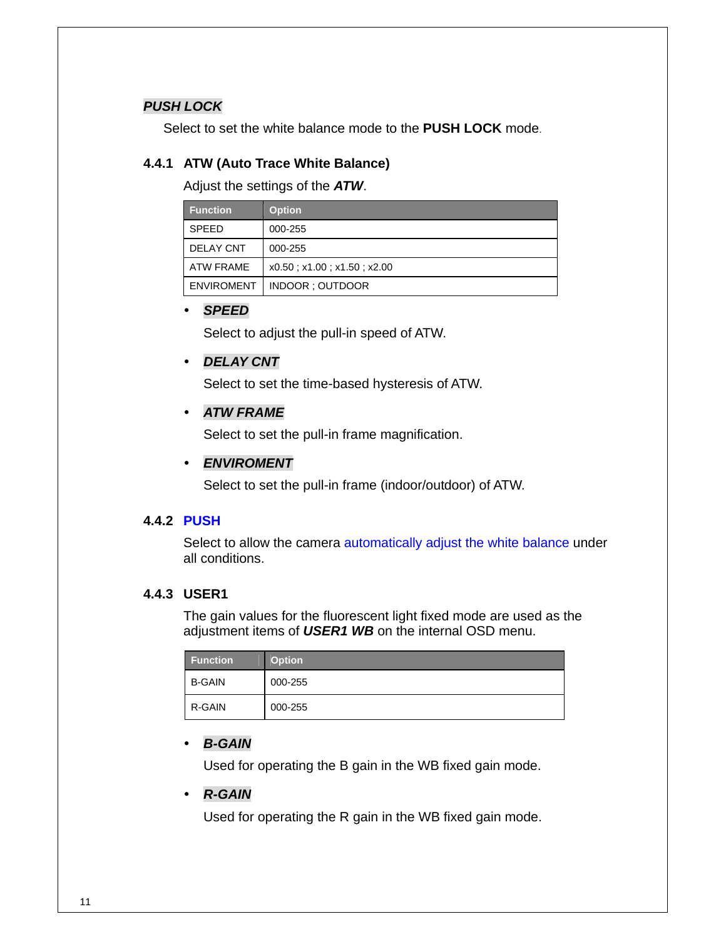### *PUSH LOCK*

Select to set the white balance mode to the **PUSH LOCK** mode.

### **4.4.1 ATW (Auto Trace White Balance)**

Adjust the settings of the *ATW*.

| <b>Function</b>   | <b>Option</b>                         |
|-------------------|---------------------------------------|
| <b>SPEED</b>      | 000-255                               |
| <b>DELAY CNT</b>  | 000-255                               |
| ATW FRAME         | $x0.50$ ; $x1.00$ ; $x1.50$ ; $x2.00$ |
| <b>ENVIROMENT</b> | INDOOR: OUTDOOR                       |

### y *SPEED*

Select to adjust the pull-in speed of ATW.

### y *DELAY CNT*

Select to set the time-based hysteresis of ATW.

### y *ATW FRAME*

Select to set the pull-in frame magnification.

### y *ENVIROMENT*

Select to set the pull-in frame (indoor/outdoor) of ATW.

### **4.4.2 PUSH**

Select to allow the camera automatically adjust the white balance under all conditions.

### **4.4.3 USER1**

The gain values for the fluorescent light fixed mode are used as the adjustment items of *USER1 WB* on the internal OSD menu.

| <b>Function</b> | <b>Option</b> |
|-----------------|---------------|
| <b>B-GAIN</b>   | 000-255       |
| R-GAIN          | 000-255       |

### y *B-GAIN*

Used for operating the B gain in the WB fixed gain mode.

### y *R-GAIN*

Used for operating the R gain in the WB fixed gain mode.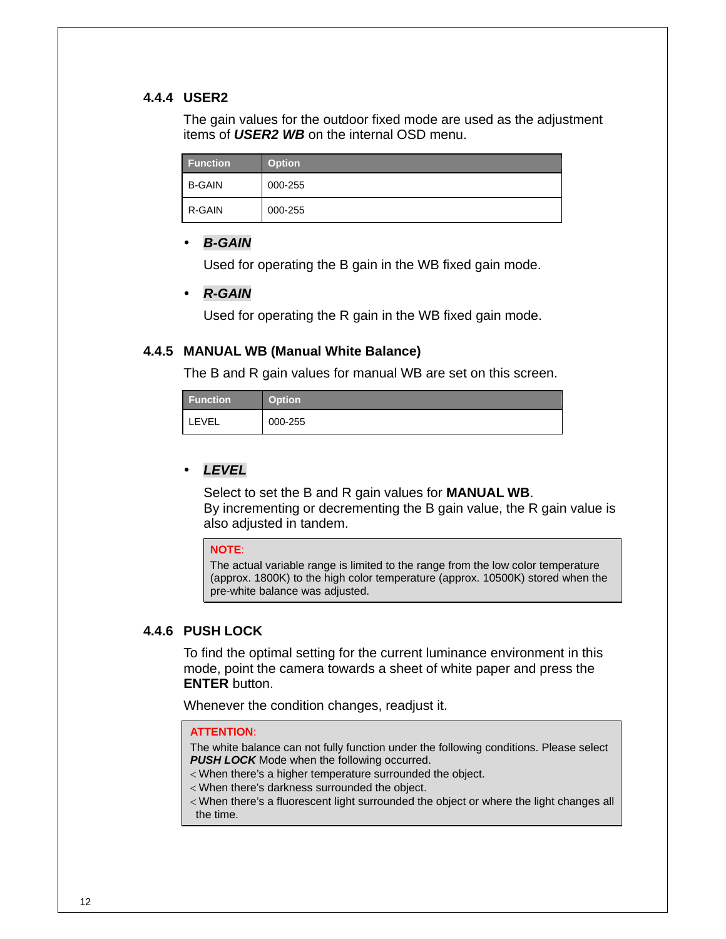### **4.4.4 USER2**

The gain values for the outdoor fixed mode are used as the adjustment items of *USER2 WB* on the internal OSD menu.

| <b>Function</b> | Option <sup>'</sup> |
|-----------------|---------------------|
| <b>B-GAIN</b>   | 000-255             |
| R-GAIN          | 000-255             |

### *B-GAIN*

Used for operating the B gain in the WB fixed gain mode.

### y *R-GAIN*

Used for operating the R gain in the WB fixed gain mode.

#### **4.4.5 MANUAL WB (Manual White Balance)**

The B and R gain values for manual WB are set on this screen.

| <b>Function</b> | Option' |
|-----------------|---------|
| LEVEL           | 000-255 |

### y *LEVEL*

Select to set the B and R gain values for **MANUAL WB**. By incrementing or decrementing the B gain value, the R gain value is also adjusted in tandem.

#### **NOTE**:

The actual variable range is limited to the range from the low color temperature (approx. 1800K) to the high color temperature (approx. 10500K) stored when the pre-white balance was adjusted.

#### **4.4.6 PUSH LOCK**

To find the optimal setting for the current luminance environment in this mode, point the camera towards a sheet of white paper and press the **ENTER** button.

Whenever the condition changes, readjust it.

#### **ATTENTION**:

The white balance can not fully function under the following conditions. Please select **PUSH LOCK** Mode when the following occurred.

- < When there's a higher temperature surrounded the object.
- < When there's darkness surrounded the object.
- < When there's a fluorescent light surrounded the object or where the light changes all the time.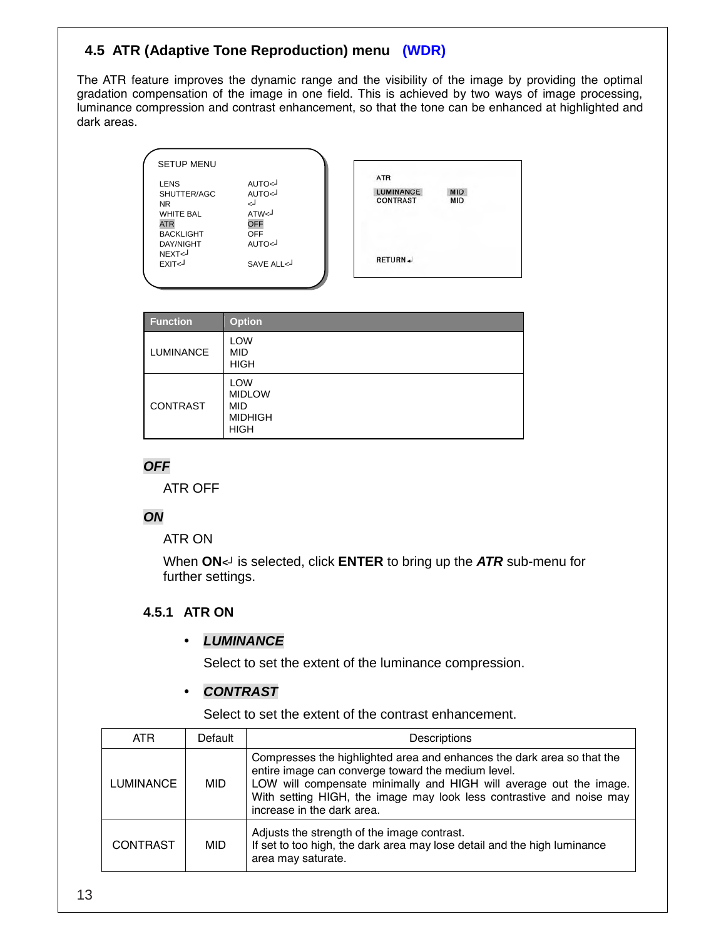### **14.5 ATR (Adaptive Tone Reproduction) menu (WDR)**

The ATR feature improves the dynamic range and the visibility of the image by providing the optimal gradation compensation of the image in one field. This is achieved by two ways of image processing, luminance compression and contrast enhancement, so that the tone can be enhanced at highlighted and dark areas.

| <b>SETUP MENU</b>                                                                                                 |                                                                               |                                                   |                          |
|-------------------------------------------------------------------------------------------------------------------|-------------------------------------------------------------------------------|---------------------------------------------------|--------------------------|
| <b>LENS</b><br>SHUTTER/AGC<br><b>NR</b><br><b>WHITE BAL</b><br><b>ATR</b><br><b>BACKLIGHT</b><br><b>DAY/NIGHT</b> | AUTO<<br>AUTO<<br>لے<br>ATW <sub>1</sub><br><b>OFF</b><br><b>OFF</b><br>AUTO< | <b>ATR</b><br><b>LUMINANCE</b><br><b>CONTRAST</b> | <b>MID</b><br><b>MID</b> |
| NEXT<<br>EXIT <sup>1</sup>                                                                                        | SAVE ALL<                                                                     | RETURN +                                          |                          |

| <b>Function</b>  | <b>Option</b>                                                              |
|------------------|----------------------------------------------------------------------------|
| <b>LUMINANCE</b> | <b>LOW</b><br>MID<br><b>HIGH</b>                                           |
| <b>CONTRAST</b>  | <b>LOW</b><br><b>MIDLOW</b><br><b>MID</b><br><b>MIDHIGH</b><br><b>HIGH</b> |

### *OFF*

ATR OFF

### *ON*

ATR ON

When **ON***<┘* is selected, click **ENTER** to bring up the *ATR* sub-menu for further settings.

### **4.5.1 ATR ON**

### y *LUMINANCE*

Select to set the extent of the luminance compression.

### y *CONTRAST*

Select to set the extent of the contrast enhancement.

| ATR.            | Default    | Descriptions                                                                                                                                                                                                                                                                                             |
|-----------------|------------|----------------------------------------------------------------------------------------------------------------------------------------------------------------------------------------------------------------------------------------------------------------------------------------------------------|
| LUMINANCE       | MID.       | Compresses the highlighted area and enhances the dark area so that the<br>entire image can converge toward the medium level.<br>LOW will compensate minimally and HIGH will average out the image.<br>With setting HIGH, the image may look less contrastive and noise may<br>increase in the dark area. |
| <b>CONTRAST</b> | <b>MID</b> | Adjusts the strength of the image contrast.<br>If set to too high, the dark area may lose detail and the high luminance<br>area may saturate.                                                                                                                                                            |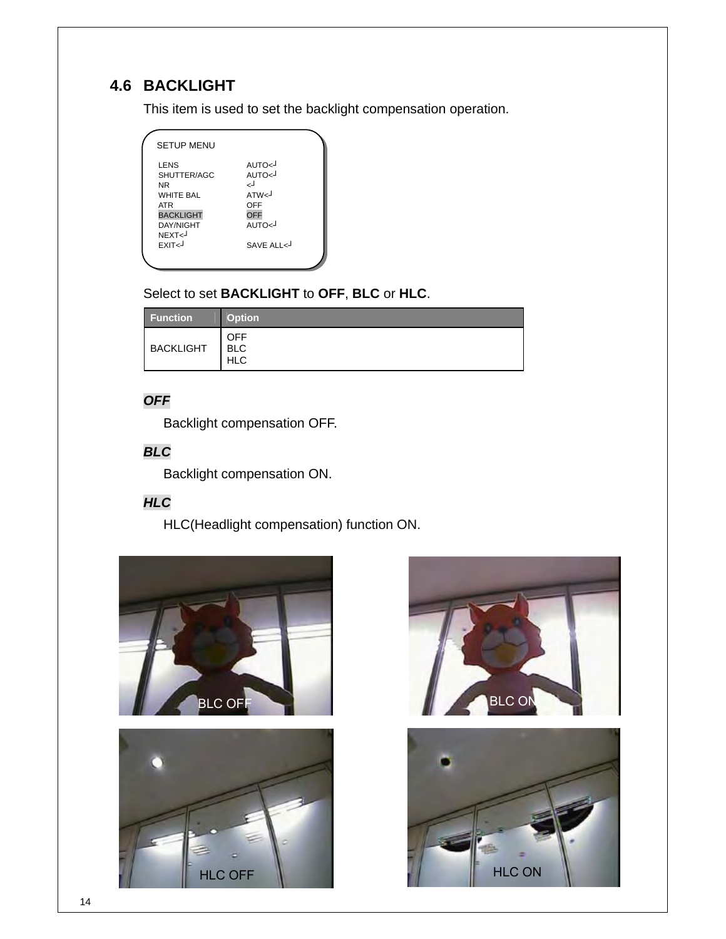# **4.6 BACKLIGHT**

This item is used to set the backlight compensation operation.

| <b>SETUP MENU</b>                                                                                                                                     |                                                                                                             |  |
|-------------------------------------------------------------------------------------------------------------------------------------------------------|-------------------------------------------------------------------------------------------------------------|--|
| LENS<br>SHUTTER/AGC<br>NR<br><b>WHITE BAL</b><br><b>ATR</b><br><b>BACKLIGHT</b><br><b>DAY/NIGHT</b><br>NEXT <sub>1</sub><br><b>FXIT<j< b=""></j<></b> | AUTO <j<br>AUTO&lt;<br/>لہ<br/>ATW<sub>1</sub><br/>OFF<br/><b>OFF</b><br/>AUTO&lt;<br/>SAVE ALL &lt;</j<br> |  |
|                                                                                                                                                       |                                                                                                             |  |

### Select to set **BACKLIGHT** to **OFF**, **BLC** or **HLC**.

| <b>Function</b>  | <b>Option</b>                          |
|------------------|----------------------------------------|
| <b>BACKLIGHT</b> | <b>OFF</b><br><b>BLC</b><br><b>HLC</b> |

### *OFF*

Backlight compensation OFF.

### *BLC*

Backlight compensation ON.

# *HLC*

HLC(Headlight compensation) function ON.





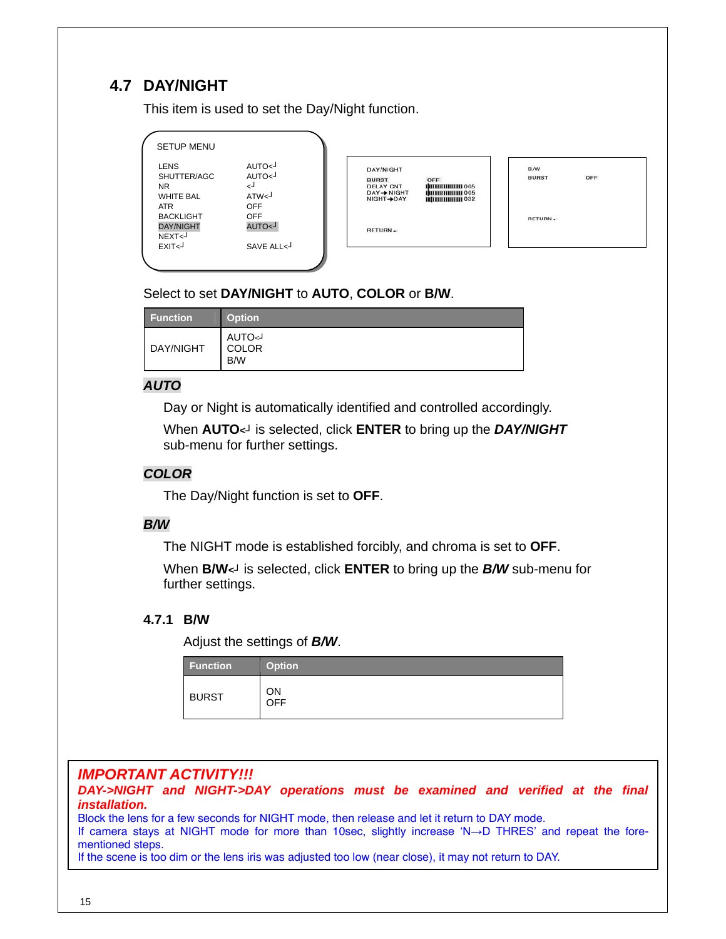# **4.7 DAY/NIGHT**

This item is used to set the Day/Night function.

| <b>SETUP MENU</b>                                                  |                                                        |                                                                                       |                                                                     |                     |          |
|--------------------------------------------------------------------|--------------------------------------------------------|---------------------------------------------------------------------------------------|---------------------------------------------------------------------|---------------------|----------|
| <b>LENS</b><br>SHUTTER/AGC<br><b>NR</b><br><b>WHITE BAL</b><br>ATR | AUTO<<br>AUTO<<br>لے<br>ATW <sup>J</sup><br><b>OFF</b> | DAY/NIGHT<br><b>BURST</b><br><b>DELAY CNT</b><br>$DAY \rightarrow NIGHT$<br>NIGHT-DAY | OFF<br><b>ПШШШШШІ 005</b><br><b>ПШШШШШ 005</b><br><b>ШПШШШШ 032</b> | B/W<br><b>BURST</b> | OFF<br>. |
| <b>BACKLIGHT</b><br><b>DAY/NIGHT</b><br>NEXT<                      | <b>OFF</b><br>L>OTUA                                   | RETURN+                                                                               |                                                                     | RETURN +            |          |
| EXIT<                                                              | SAVE ALL<                                              |                                                                                       |                                                                     |                     |          |

### Select to set **DAY/NIGHT** to **AUTO**, **COLOR** or **B/W**.

| <b>Function</b> | <b>Option</b>                 |
|-----------------|-------------------------------|
| DAY/NIGHT       | <b>AUTO</b> <<br>COLOR<br>B/W |

### *AUTO*

Day or Night is automatically identified and controlled accordingly.

When **AUTO***<┘* is selected, click **ENTER** to bring up the *DAY/NIGHT* sub-menu for further settings.

### *COLOR*

The Day/Night function is set to **OFF**.

### *B/W*

The NIGHT mode is established forcibly, and chroma is set to **OFF**.

When **B/W***<┘* is selected, click **ENTER** to bring up the *B/W* sub-menu for further settings.

### **4.7.1 B/W**

Adjust the settings of *B/W*.

| <b>Function</b> | <b>Option</b>    |
|-----------------|------------------|
| <b>BURST</b>    | ΟN<br><b>OFF</b> |

# *IMPORTANT ACTIVITY!!!*

*DAY->NIGHT and NIGHT->DAY operations must be examined and verified at the final installation.* 

Block the lens for a few seconds for NIGHT mode, then release and let it return to DAY mode. If camera stays at NIGHT mode for more than 10sec, slightly increase 'N→D THRES' and repeat the forementioned steps.

If the scene is too dim or the lens iris was adjusted too low (near close), it may not return to DAY.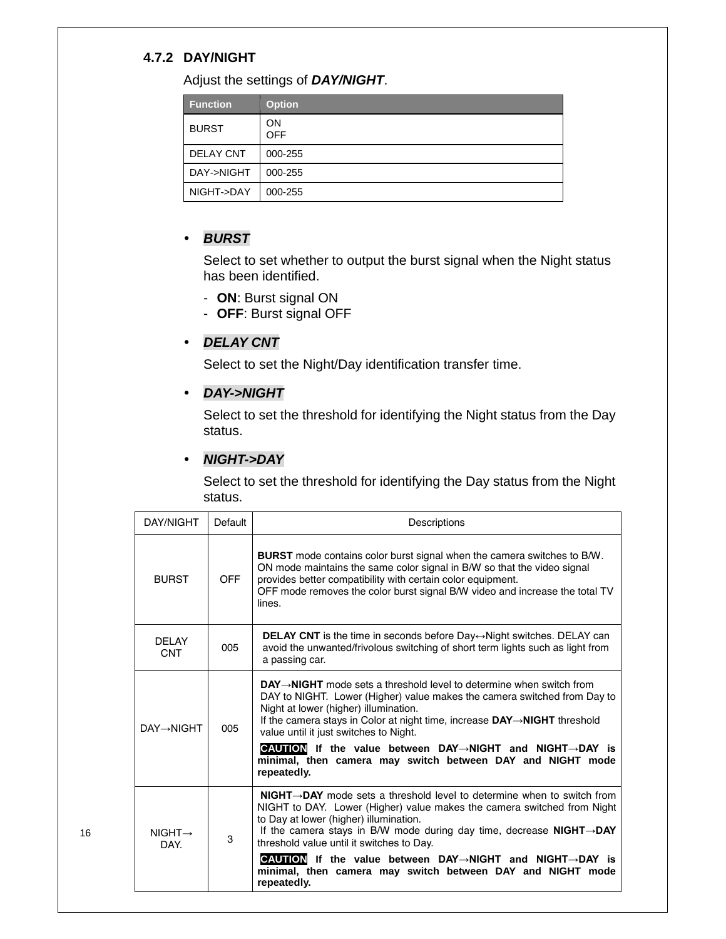### **4.7.2 DAY/NIGHT**

Adjust the settings of *DAY/NIGHT*.

| <b>Function</b>  | <b>Option</b>           |
|------------------|-------------------------|
| <b>BURST</b>     | <b>ON</b><br><b>OFF</b> |
| <b>DELAY CNT</b> | 000-255                 |
| DAY->NIGHT       | 000-255                 |
| NIGHT->DAY       | 000-255                 |

### y *BURST*

Select to set whether to output the burst signal when the Night status has been identified.

- **ON**: Burst signal ON
- **OFF**: Burst signal OFF

### y *DELAY CNT*

Select to set the Night/Day identification transfer time.

### y *DAY->NIGHT*

Select to set the threshold for identifying the Night status from the Day status.

### y *NIGHT->DAY*

Select to set the threshold for identifying the Day status from the Night status.

| DAY/NIGHT                   | Default    | Descriptions                                                                                                                                                                                                                                                                                                                                                                                                               |
|-----------------------------|------------|----------------------------------------------------------------------------------------------------------------------------------------------------------------------------------------------------------------------------------------------------------------------------------------------------------------------------------------------------------------------------------------------------------------------------|
| <b>BURST</b>                | <b>OFF</b> | <b>BURST</b> mode contains color burst signal when the camera switches to B/W.<br>ON mode maintains the same color signal in B/W so that the video signal<br>provides better compatibility with certain color equipment.<br>OFF mode removes the color burst signal B/W video and increase the total TV<br>lines.                                                                                                          |
| <b>DELAY</b><br><b>CNT</b>  | 005        | <b>DELAY CNT</b> is the time in seconds before Day $\leftrightarrow$ Night switches. DELAY can<br>avoid the unwanted/frivolous switching of short term lights such as light from<br>a passing car.                                                                                                                                                                                                                         |
| <b>DAY→NIGHT</b>            | 005        | $DAY \rightarrow NIGHT$ mode sets a threshold level to determine when switch from<br>DAY to NIGHT. Lower (Higher) value makes the camera switched from Day to<br>Night at lower (higher) illumination.<br>If the camera stays in Color at night time, increase DAY-NIGHT threshold<br>value until it just switches to Night.<br><b>CAUTION</b> If the value between DAY $\rightarrow$ NIGHT and NIGHT $\rightarrow$ DAY is |
|                             |            | minimal, then camera may switch between DAY and NIGHT mode<br>repeatedly.                                                                                                                                                                                                                                                                                                                                                  |
| $NIGHT \rightarrow$<br>DAY. | 3          | <b>NIGHT<math>\rightarrow</math>DAY</b> mode sets a threshold level to determine when to switch from<br>NIGHT to DAY. Lower (Higher) value makes the camera switched from Night<br>to Day at lower (higher) illumination.<br>If the camera stays in B/W mode during day time, decrease NIGHT $\rightarrow$ DAY<br>threshold value until it switches to Day.                                                                |
|                             |            | CAUTION If the value between DAY→NIGHT and NIGHT→DAY is<br>minimal, then camera may switch between DAY and NIGHT mode<br>repeatedly.                                                                                                                                                                                                                                                                                       |

16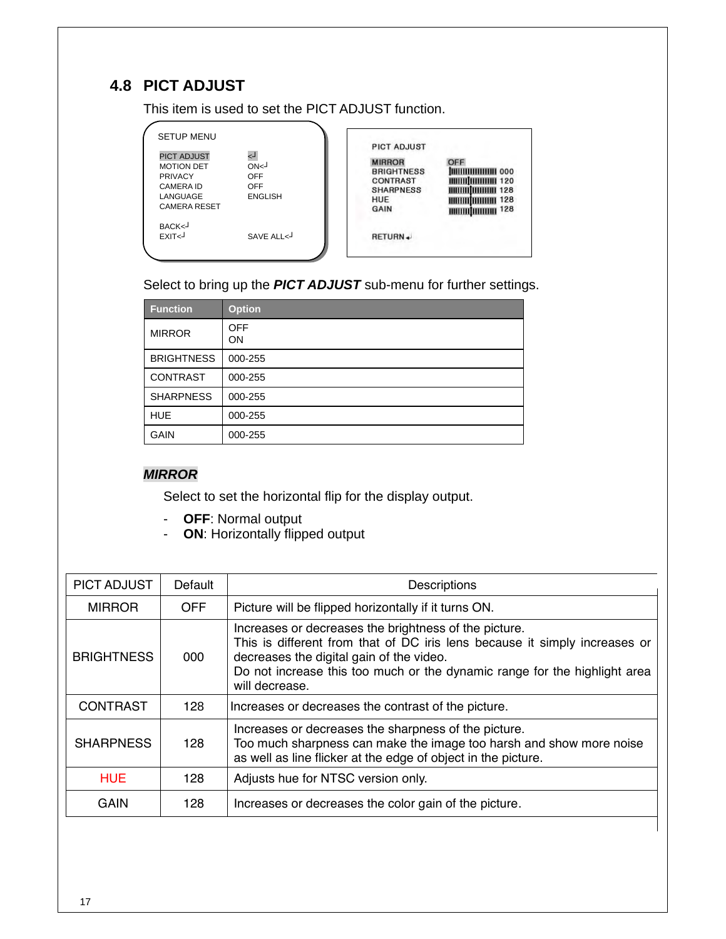# **4.8 PICT ADJUST**

This item is used to set the PICT ADJUST function.

| SETUP MENU<br><b>PICT ADJUST</b><br><b>MOTION DET</b><br><b>PRIVACY</b><br>CAMERA ID<br>LANGUAGE<br><b>CAMERA RESET</b> | ر ا<br>ON<1<br><b>OFF</b><br><b>OFF</b><br><b>ENGLISH</b> | <b>PICT ADJUST</b><br><b>MIRROR</b><br><b>BRIGHTNESS</b><br><b>CONTRAST</b><br><b>SHARPNESS</b><br>HUE<br>GAIN | OFF<br>ішшшшшші 000<br><b>MMMMMMMMM</b> 120<br><b>MINIMUMININI 128</b><br><b>ШШШШШШ 128</b><br>ШШЩШШ 128 |  |
|-------------------------------------------------------------------------------------------------------------------------|-----------------------------------------------------------|----------------------------------------------------------------------------------------------------------------|----------------------------------------------------------------------------------------------------------|--|
| BACK<<br>FXIT <sub>1</sub>                                                                                              | SAVE ALL <                                                | RETURN+                                                                                                        |                                                                                                          |  |

Select to bring up the *PICT ADJUST* sub-menu for further settings.

| <b>Function</b>   | <b>Option</b>    |
|-------------------|------------------|
| <b>MIRROR</b>     | <b>OFF</b><br>ON |
| <b>BRIGHTNESS</b> | 000-255          |
| <b>CONTRAST</b>   | 000-255          |
| <b>SHARPNESS</b>  | 000-255          |
| <b>HUE</b>        | 000-255          |
| <b>GAIN</b>       | 000-255          |

### *MIRROR*

Select to set the horizontal flip for the display output.

- **OFF**: Normal output
- **ON**: Horizontally flipped output

| Default    | Descriptions                                                                                                                                                                                                                                                                   |  |
|------------|--------------------------------------------------------------------------------------------------------------------------------------------------------------------------------------------------------------------------------------------------------------------------------|--|
| <b>OFF</b> | Picture will be flipped horizontally if it turns ON.                                                                                                                                                                                                                           |  |
| 000        | Increases or decreases the brightness of the picture.<br>This is different from that of DC iris lens because it simply increases or<br>decreases the digital gain of the video.<br>Do not increase this too much or the dynamic range for the highlight area<br>will decrease. |  |
| 128        | Increases or decreases the contrast of the picture.                                                                                                                                                                                                                            |  |
| 128        | Increases or decreases the sharpness of the picture.<br>Too much sharpness can make the image too harsh and show more noise<br>as well as line flicker at the edge of object in the picture.                                                                                   |  |
| 128        | Adjusts hue for NTSC version only.                                                                                                                                                                                                                                             |  |
| 128        | Increases or decreases the color gain of the picture.                                                                                                                                                                                                                          |  |
|            |                                                                                                                                                                                                                                                                                |  |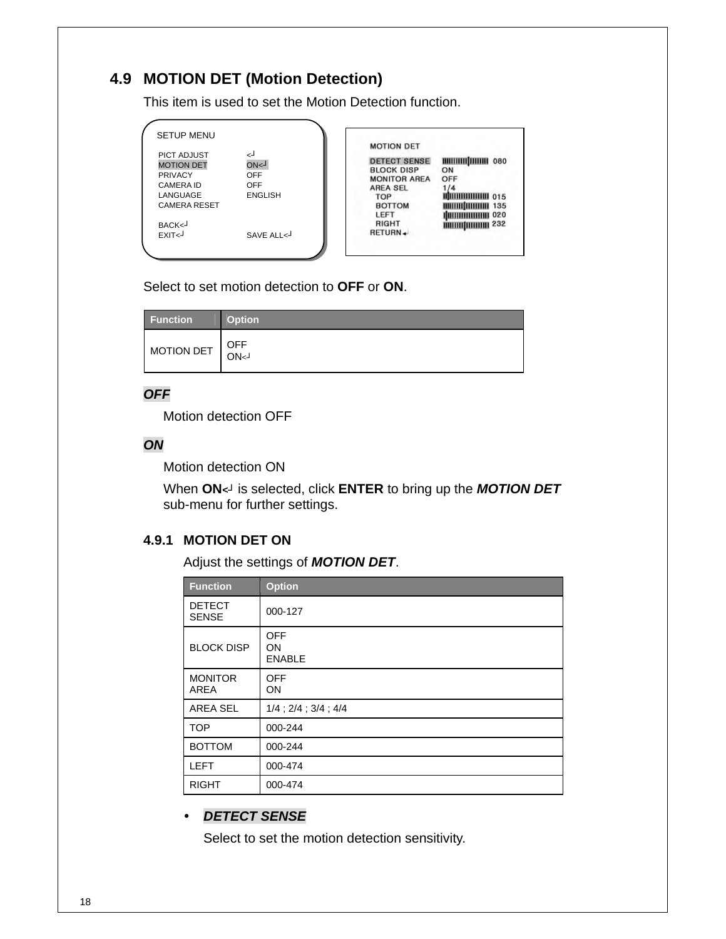# **4.9 MOTION DET (Motion Detection)**

This item is used to set the Motion Detection function.

| <b>SETUP MENU</b>                                                      |                                     |                                                                                                         |                                       |
|------------------------------------------------------------------------|-------------------------------------|---------------------------------------------------------------------------------------------------------|---------------------------------------|
| <b>PICT ADJUST</b><br><b>MOTION DET</b><br><b>PRIVACY</b><br>CAMERA ID | لے<br>ON <sub>1</sub><br>OFF<br>OFF | <b>MOTION DET</b><br><b>DETECT SENSE</b><br><b>BLOCK DISP</b><br><b>MONITOR AREA</b><br><b>AREA SEL</b> | <b>ШШШШШШ 080</b><br>ON<br>OFF<br>1/4 |
| LANGUAGE<br><b>CAMERA RESET</b>                                        | <b>ENGLISH</b>                      | TOP<br><b>BOTTOM</b>                                                                                    | <b>IIIIIIIIIIIIIIIII</b> 015          |
| BACK<<br>$EXIT-1$                                                      | SAVFAILcJ                           | LEFT<br>RIGHT<br>RETURN+                                                                                | ШШШШШШ 020<br>ШШЩШШШ 232              |
|                                                                        |                                     |                                                                                                         |                                       |

Select to set motion detection to **OFF** or **ON**.

| <b>Function</b> | <b>Option</b> |
|-----------------|---------------|
| MOTION DET      | OFF<br>ON<1   |

### *OFF*

Motion detection OFF

### *ON*

Motion detection ON

When **ON***<┘* is selected, click **ENTER** to bring up the *MOTION DET* sub-menu for further settings.

### **4.9.1 MOTION DET ON**

Adjust the settings of *MOTION DET*.

| <b>Function</b>               | <b>Option</b>                     |
|-------------------------------|-----------------------------------|
| <b>DETECT</b><br><b>SENSE</b> | 000-127                           |
| <b>BLOCK DISP</b>             | <b>OFF</b><br>ON<br><b>ENABLE</b> |
| <b>MONITOR</b><br><b>AREA</b> | <b>OFF</b><br>ON                  |
| AREA SEL                      | $1/4$ ; $2/4$ ; $3/4$ ; $4/4$     |
| <b>TOP</b>                    | 000-244                           |
| <b>BOTTOM</b>                 | 000-244                           |
| <b>LEFT</b>                   | 000-474                           |
| <b>RIGHT</b>                  | 000-474                           |

### y *DETECT SENSE*

Select to set the motion detection sensitivity.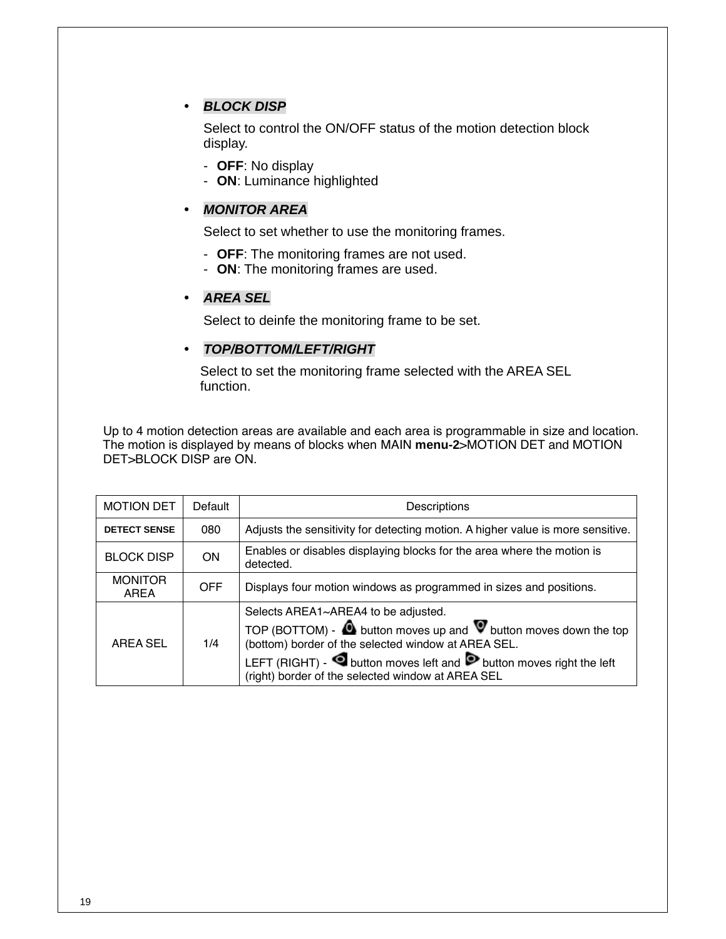### y *BLOCK DISP*

Select to control the ON/OFF status of the motion detection block display.

- **OFF**: No display
- **ON**: Luminance highlighted

### y *MONITOR AREA*

Select to set whether to use the monitoring frames.

- **OFF**: The monitoring frames are not used.
- **ON**: The monitoring frames are used.

### y *AREA SEL*

Select to deinfe the monitoring frame to be set.

### y *TOP/BOTTOM/LEFT/RIGHT*

Select to set the monitoring frame selected with the AREA SEL function.

 Up to 4 motion detection areas are available and each area is programmable in size and location. The motion is displayed by means of blocks when MAIN **menu-2**>MOTION DET and MOTION DET>BLOCK DISP are ON.

| <b>MOTION DET</b><br>Default                |     | Descriptions                                                                                                                                                                                                                                                                                                                  |  |
|---------------------------------------------|-----|-------------------------------------------------------------------------------------------------------------------------------------------------------------------------------------------------------------------------------------------------------------------------------------------------------------------------------|--|
| <b>DETECT SENSE</b><br>080                  |     | Adjusts the sensitivity for detecting motion. A higher value is more sensitive.                                                                                                                                                                                                                                               |  |
| <b>BLOCK DISP</b><br><b>ON</b><br>detected. |     | Enables or disables displaying blocks for the area where the motion is                                                                                                                                                                                                                                                        |  |
| <b>MONITOR</b><br><b>OFF</b><br>AREA        |     | Displays four motion windows as programmed in sizes and positions.                                                                                                                                                                                                                                                            |  |
| AREA SEL                                    | 1/4 | Selects AREA1~AREA4 to be adjusted.<br>TOP (BOTTOM) - $\bullet$ button moves up and $\bullet$ button moves down the top<br>(bottom) border of the selected window at AREA SEL.<br>LEFT (RIGHT) - $\bigcirc$ button moves left and $\bigcirc$ button moves right the left<br>(right) border of the selected window at AREA SEL |  |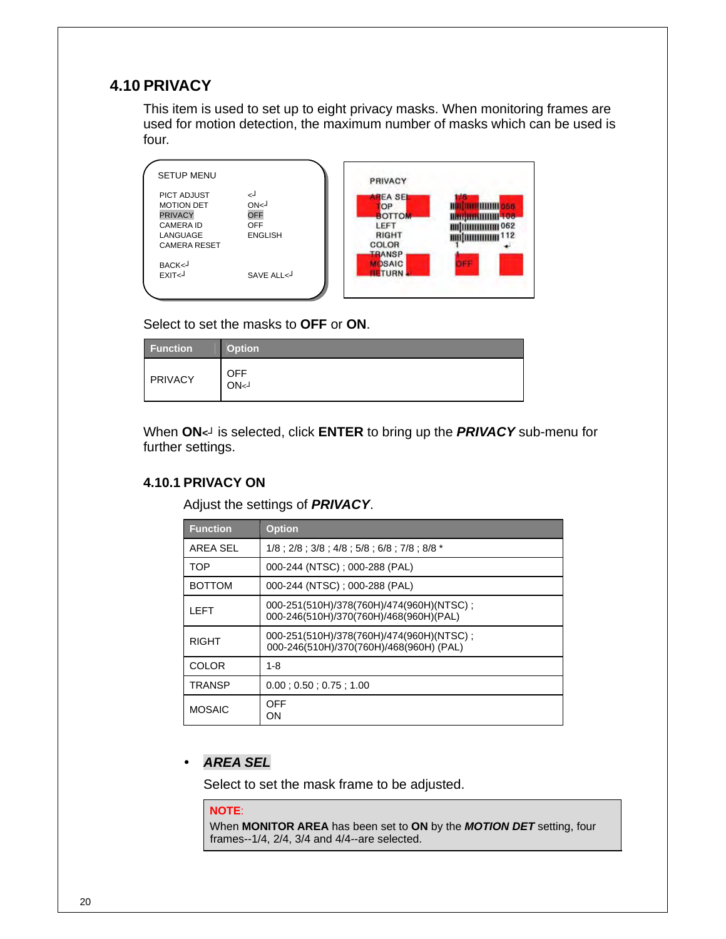## **4.10 PRIVACY**

This item is used to set up to eight privacy masks. When monitoring frames are used for motion detection, the maximum number of masks which can be used is four.

| <b>SETUP MENU</b>                                                                                         |                                                                     | PRIVACY                                                                           |            |
|-----------------------------------------------------------------------------------------------------------|---------------------------------------------------------------------|-----------------------------------------------------------------------------------|------------|
| <b>PICT ADJUST</b><br><b>MOTION DET</b><br><b>PRIVACY</b><br>CAMERA ID<br>LANGUAGE<br><b>CAMERA RESET</b> | لے<br>ON <sub>1</sub><br><b>OFF</b><br><b>OFF</b><br><b>ENGLISH</b> | <b>AREA SEL</b><br><b>OP</b><br><b>BOTTOM</b><br>LEFT<br>RIGHT<br>COLOR<br>TRANSP | 062<br>112 |
| BACK<<br>EXIT <sub>&lt;</sub>                                                                             | SAVE ALL<                                                           | <b>OSAIC</b><br><b>BETURN</b>                                                     | $1 - 1$    |

Select to set the masks to **OFF** or **ON**.

| <b>Function</b> | <b>Option</b>      |
|-----------------|--------------------|
| PRIVACY         | <b>OFF</b><br>ON<1 |

When **ON***<┘* is selected, click **ENTER** to bring up the *PRIVACY* sub-menu for further settings.

### **4.10.1 PRIVACY ON**

Adjust the settings of *PRIVACY*.

| <b>Function</b>                                                                             | <b>Option</b>                                                                       |  |
|---------------------------------------------------------------------------------------------|-------------------------------------------------------------------------------------|--|
| AREA SEL<br>$1/8:2/8:3/8:4/8:5/8:6/8:7/8:8/8*$                                              |                                                                                     |  |
| 000-244 (NTSC) ; 000-288 (PAL)<br>TOP                                                       |                                                                                     |  |
| 000-244 (NTSC) : 000-288 (PAL)<br><b>BOTTOM</b>                                             |                                                                                     |  |
| 000-251(510H)/378(760H)/474(960H)(NTSC);<br>I FFT<br>000-246(510H)/370(760H)/468(960H)(PAL) |                                                                                     |  |
| <b>RIGHT</b>                                                                                | 000-251(510H)/378(760H)/474(960H)(NTSC);<br>000-246(510H)/370(760H)/468(960H) (PAL) |  |
| <b>COLOR</b><br>1-8                                                                         |                                                                                     |  |
| <b>TRANSP</b><br>0.00:0.50:0.75:1.00                                                        |                                                                                     |  |
| <b>MOSAIC</b>                                                                               | OFF<br>OΝ                                                                           |  |

### y *AREA SEL*

Select to set the mask frame to be adjusted.

#### **NOTE**:

When **MONITOR AREA** has been set to **ON** by the *MOTION DET* setting, four frames--1/4, 2/4, 3/4 and 4/4--are selected.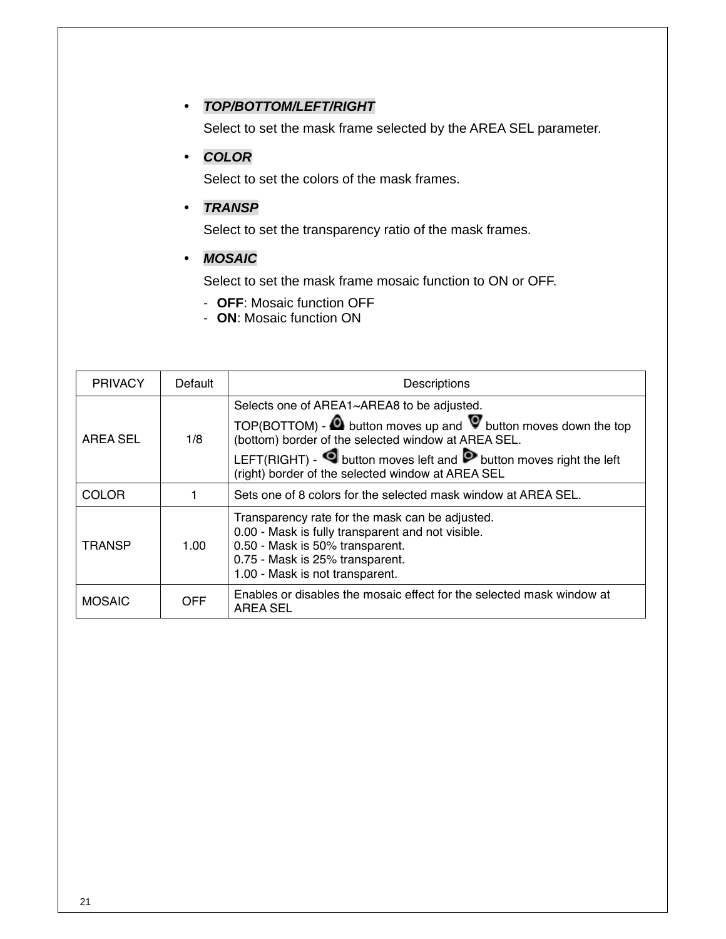### y *TOP/BOTTOM/LEFT/RIGHT*

Select to set the mask frame selected by the AREA SEL parameter.

### y *COLOR*

Select to set the colors of the mask frames.

### y *TRANSP*

Select to set the transparency ratio of the mask frames.

### y *MOSAIC*

Select to set the mask frame mosaic function to ON or OFF.

- **OFF**: Mosaic function OFF
- **ON**: Mosaic function ON

| <b>PRIVACY</b>                                                                                                                                                                                                                         | Default | Descriptions                                                                                                                                                                       |  |
|----------------------------------------------------------------------------------------------------------------------------------------------------------------------------------------------------------------------------------------|---------|------------------------------------------------------------------------------------------------------------------------------------------------------------------------------------|--|
| Selects one of AREA1~AREA8 to be adjusted.<br>(bottom) border of the selected window at AREA SEL.<br><b>AREA SEL</b><br>1/8<br>(right) border of the selected window at AREA SEL                                                       |         | TOP(BOTTOM) - $\bullet$ button moves up and $\bullet$ button moves down the top<br>LEFT(RIGHT) - $\blacksquare$ button moves left and $\triangleright$ button moves right the left |  |
| <b>COLOR</b>                                                                                                                                                                                                                           |         | Sets one of 8 colors for the selected mask window at AREA SEL.                                                                                                                     |  |
| Transparency rate for the mask can be adjusted.<br>0.00 - Mask is fully transparent and not visible.<br>0.50 - Mask is 50% transparent.<br><b>TRANSP</b><br>1.00<br>0.75 - Mask is 25% transparent.<br>1.00 - Mask is not transparent. |         |                                                                                                                                                                                    |  |
| <b>OFF</b><br><b>MOSAIC</b><br><b>AREA SEL</b>                                                                                                                                                                                         |         | Enables or disables the mosaic effect for the selected mask window at                                                                                                              |  |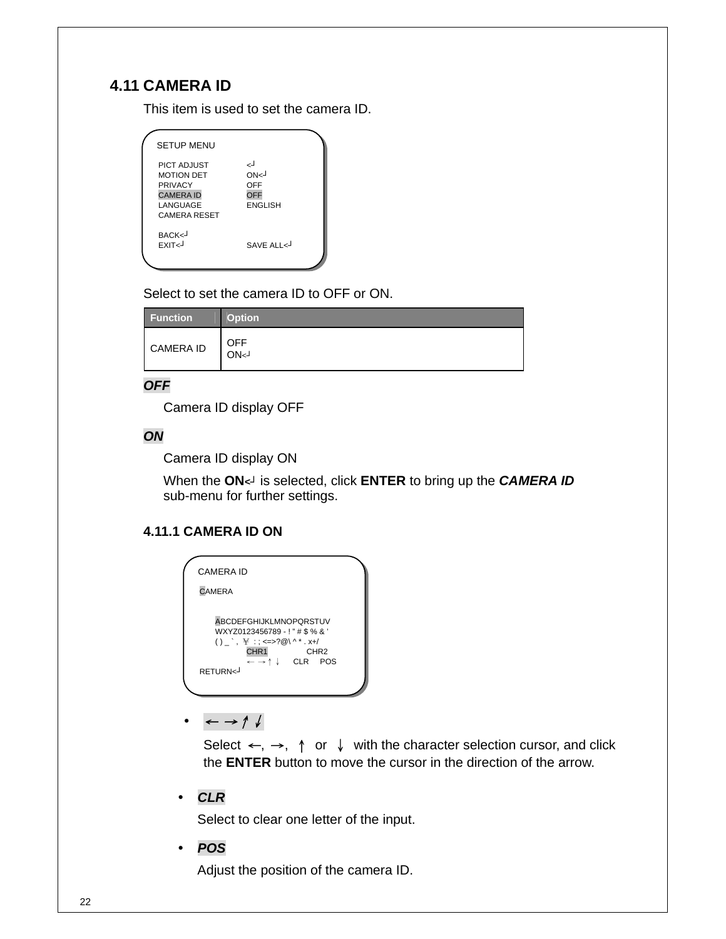# **4.11 CAMERA ID**

This item is used to set the camera ID.

| <b>SETUP MENU</b>                                                                                         |                                                       |
|-----------------------------------------------------------------------------------------------------------|-------------------------------------------------------|
| <b>PICT ADJUST</b><br><b>MOTION DET</b><br>PRIVACY<br><b>CAMERA ID</b><br>LANGUAGE<br><b>CAMERA RESET</b> | لے<br>ON <sub>1</sub><br>OFF<br>OFF<br><b>ENGLISH</b> |
| BACK <j<br>EXIT<j< td=""><td>SAVE ALL &lt;</td></j<></j<br>                                               | SAVE ALL <                                            |

Select to set the camera ID to OFF or ON.

| <b>Function</b>  | <b>Option</b>                   |
|------------------|---------------------------------|
| <b>CAMERA ID</b> | <b>OFF</b><br>ON <sub>S</sub> J |

### *OFF*

Camera ID display OFF

### *ON*

Camera ID display ON

When the **ON***<┘* is selected, click **ENTER** to bring up the *CAMERA ID* sub-menu for further settings.

### **4.11.1 CAMERA ID ON**

| CAMERA ID                                                                                                                                                                                                                                                       |  |
|-----------------------------------------------------------------------------------------------------------------------------------------------------------------------------------------------------------------------------------------------------------------|--|
| <b>CAMERA</b>                                                                                                                                                                                                                                                   |  |
| <b>ABCDEFGHIJKLMNOPQRSTUV</b><br>WXYZ0123456789 - ! " # \$ % & '<br>() $\rightarrow$ $\forall$ : $\langle = \rangle$ 2 (0) ^ * . x +/<br>CHR <sub>1</sub><br>CHR <sub>2</sub><br>$\leftarrow \rightarrow \uparrow \downarrow$ CLR POS<br>RFTURN <sub>&lt;</sub> |  |

y <sup>←</sup> →↑↓

Select  $\leftarrow, \rightarrow, \uparrow$  or  $\downarrow$  with the character selection cursor, and click the **ENTER** button to move the cursor in the direction of the arrow.

y *CLR* 

Select to clear one letter of the input.

y *POS* 

Adjust the position of the camera ID.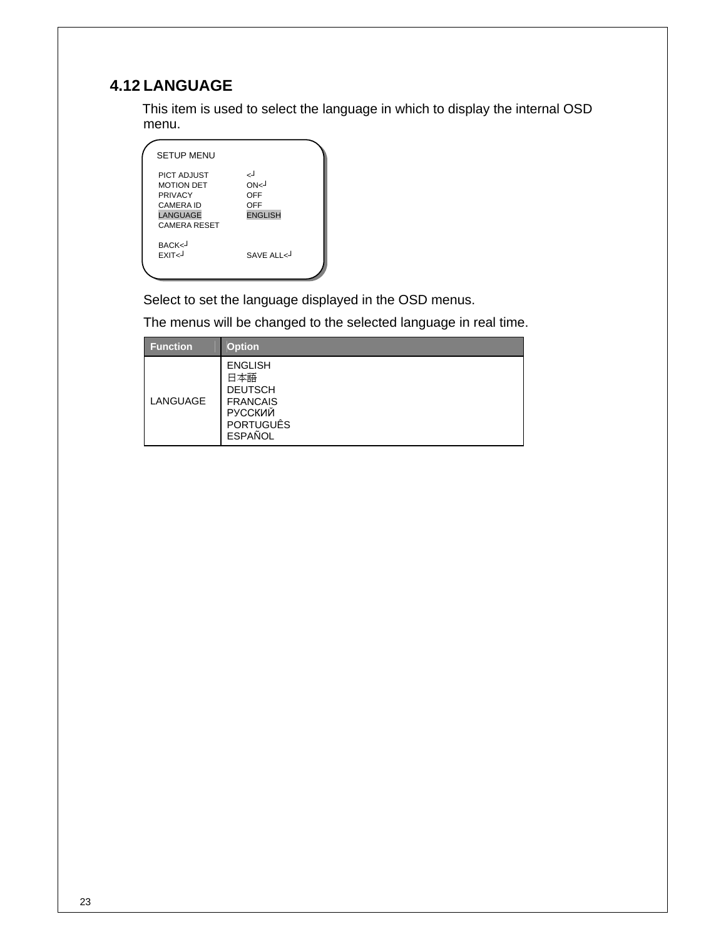# **4.12 LANGUAGE**

This item is used to select the language in which to display the internal OSD menu.

| <b>SETUP MENU</b>                                                                                                |                                                        |
|------------------------------------------------------------------------------------------------------------------|--------------------------------------------------------|
| PICT ADJUST<br><b>MOTION DET</b><br><b>PRIVACY</b><br><b>CAMERA ID</b><br><b>LANGUAGE</b><br><b>CAMERA RESET</b> | لەر<br>ON <sub>1</sub><br>OFF<br>OFF<br><b>ENGLISH</b> |
| BACK<-<br><b>FXIT<j< b=""></j<></b>                                                                              | SAVE ALL <                                             |

Select to set the language displayed in the OSD menus.

The menus will be changed to the selected language in real time.

| <b>Function</b> | <b>Option</b>                                                                                                      |
|-----------------|--------------------------------------------------------------------------------------------------------------------|
| LANGUAGE        | <b>ENGLISH</b><br>日本語<br><b>DEUTSCH</b><br><b>FRANCAIS</b><br><b>РУССКИЙ</b><br><b>PORTUGUÊS</b><br><b>ESPAÑOL</b> |